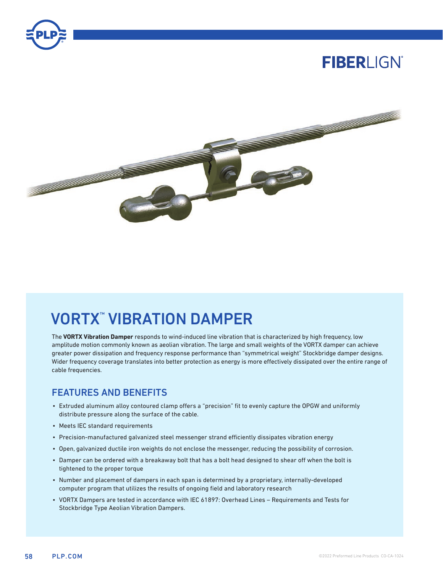

# **FIBERLIGN®**



# VORTX™ VIBRATION DAMPER

The **VORTX Vibration Damper** responds to wind-induced line vibration that is characterized by high frequency, low amplitude motion commonly known as aeolian vibration. The large and small weights of the VORTX damper can achieve greater power dissipation and frequency response performance than "symmetrical weight" Stockbridge damper designs. Wider frequency coverage translates into better protection as energy is more effectively dissipated over the entire range of cable frequencies.

### FEATURES AND BENEFITS

- Extruded aluminum alloy contoured clamp offers a "precision" fit to evenly capture the OPGW and uniformly distribute pressure along the surface of the cable.
- Meets IEC standard requirements
- Precision-manufactured galvanized steel messenger strand efficiently dissipates vibration energy
- Open, galvanized ductile iron weights do not enclose the messenger, reducing the possibility of corrosion.
- Damper can be ordered with a breakaway bolt that has a bolt head designed to shear off when the bolt is tightened to the proper torque
- Number and placement of dampers in each span is determined by a proprietary, internally-developed computer program that utilizes the results of ongoing field and laboratory research
- VORTX Dampers are tested in accordance with IEC 61897: Overhead Lines Requirements and Tests for Stockbridge Type Aeolian Vibration Dampers.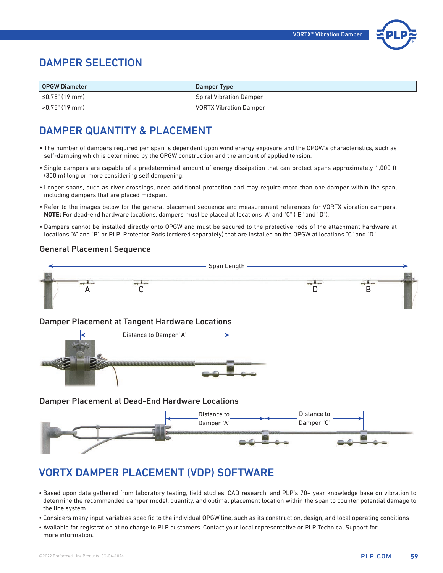

### DAMPER SELECTION

| <b>OPGW Diameter</b> | Damper Type                    |
|----------------------|--------------------------------|
| ≤0.75" (19 mm)       | <b>Spiral Vibration Damper</b> |
| >0.75" (19 mm)       | <b>VORTX Vibration Damper</b>  |

### DAMPER QUANTITY & PLACEMENT

- The number of dampers required per span is dependent upon wind energy exposure and the OPGW's characteristics, such as self-damping which is determined by the OPGW construction and the amount of applied tension.
- Single dampers are capable of a predetermined amount of energy dissipation that can protect spans approximately 1,000 ft (300 m) long or more considering self dampening.
- Longer spans, such as river crossings, need additional protection and may require more than one damper within the span, including dampers that are placed midspan.
- Refer to the images below for the general placement sequence and measurement references for VORTX vibration dampers. **NOTE:** For dead-end hardware locations, dampers must be placed at locations "A" and "C" ("B" and "D").
- Dampers cannot be installed directly onto OPGW and must be secured to the protective rods of the attachment hardware at locations "A" and "B" or PLP Protector Rods (ordered separately) that are installed on the OPGW at locations "C" and "D."

#### General Placement Sequence



### VORTX DAMPER PLACEMENT (VDP) SOFTWARE

- Based upon data gathered from laboratory testing, field studies, CAD research, and PLP's 70+ year knowledge base on vibration to determine the recommended damper model, quantity, and optimal placement location within the span to counter potential damage to the line system.
- Considers many input variables specific to the individual OPGW line, such as its construction, design, and local operating conditions
- Available for registration at no charge to PLP customers. Contact your local representative or PLP Technical Support for more information.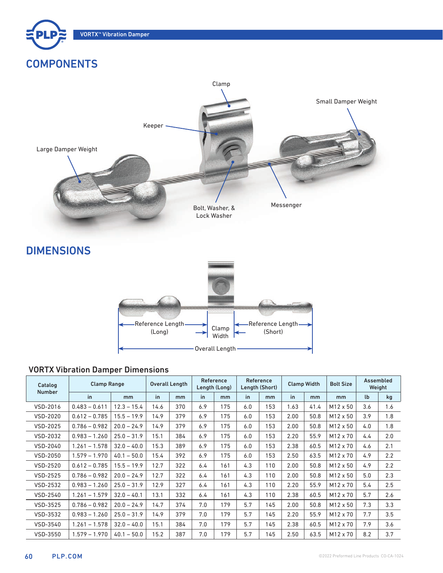

## **COMPONENTS**



**DIMENSIONS** 



### VORTX Vibration Damper Dimensions

| <b>Clamp Range</b><br>Catalog |                 | Overall Length |      | Reference<br>Length (Long) |     | Reference<br>Length (Short) |     | <b>Clamp Width</b> |      | Assembled<br><b>Bolt Size</b><br>Weight |                 |           |     |
|-------------------------------|-----------------|----------------|------|----------------------------|-----|-----------------------------|-----|--------------------|------|-----------------------------------------|-----------------|-----------|-----|
| <b>Number</b>                 | in              | m <sub>m</sub> | in   | mm                         | in  | mm                          | in  | mm                 | in   | mm                                      | mm              | <b>lb</b> | kg  |
| VSD-2016                      | $0.483 - 0.611$ | $12.3 - 15.4$  | 14.6 | 370                        | 6.9 | 175                         | 6.0 | 153                | 1.63 | 41.4                                    | $M12 \times 50$ | 3.6       | 1.6 |
| VSD-2020                      | $0.612 - 0.785$ | $15.5 - 19.9$  | 14.9 | 379                        | 6.9 | 175                         | 6.0 | 153                | 2.00 | 50.8                                    | M12 x 50        | 3.9       | 1.8 |
| VSD-2025                      | $0.786 - 0.982$ | $20.0 - 24.9$  | 14.9 | 379                        | 6.9 | 175                         | 6.0 | 153                | 2.00 | 50.8                                    | M12 x 50        | 4.0       | 1.8 |
| <b>VSD-2032</b>               | $0.983 - 1.260$ | $25.0 - 31.9$  | 15.1 | 384                        | 6.9 | 175                         | 6.0 | 153                | 2.20 | 55.9                                    | M12 x 70        | 4.4       | 2.0 |
| VSD-2040                      | $1.261 - 1.578$ | $32.0 - 40.0$  | 15.3 | 389                        | 6.9 | 175                         | 6.0 | 153                | 2.38 | 60.5                                    | M12 x 70        | 4.6       | 2.1 |
| VSD-2050                      | $1.579 - 1.970$ | $40.1 - 50.0$  | 15.4 | 392                        | 6.9 | 175                         | 6.0 | 153                | 2.50 | 63.5                                    | M12 x 70        | 4.9       | 2.2 |
| VSD-2520                      | $0.612 - 0.785$ | $15.5 - 19.9$  | 12.7 | 322                        | 6.4 | 161                         | 4.3 | 110                | 2.00 | 50.8                                    | M12 x 50        | 4.9       | 2.2 |
| VSD-2525                      | $0.786 - 0.982$ | $20.0 - 24.9$  | 12.7 | 322                        | 6.4 | 161                         | 4.3 | 110                | 2.00 | 50.8                                    | $M12 \times 50$ | 5.0       | 2.3 |
| VSD-2532                      | $0.983 - 1.260$ | $25.0 - 31.9$  | 12.9 | 327                        | 6.4 | 161                         | 4.3 | 110                | 2.20 | 55.9                                    | $M12 \times 70$ | 5.4       | 2.5 |
| VSD-2540                      | $1.261 - 1.579$ | $32.0 - 40.1$  | 13.1 | 332                        | 6.4 | 161                         | 4.3 | 110                | 2.38 | 60.5                                    | M12 x 70        | 5.7       | 2.6 |
| VSD-3525                      | $0.786 - 0.982$ | $20.0 - 24.9$  | 14.7 | 374                        | 7.0 | 179                         | 5.7 | 145                | 2.00 | 50.8                                    | $M12 \times 50$ | 7.3       | 3.3 |
| VSD-3532                      | $0.983 - 1.260$ | $25.0 - 31.9$  | 14.9 | 379                        | 7.0 | 179                         | 5.7 | 145                | 2.20 | 55.9                                    | $M12 \times 70$ | 7.7       | 3.5 |
| VSD-3540                      | $1.261 - 1.578$ | $32.0 - 40.0$  | 15.1 | 384                        | 7.0 | 179                         | 5.7 | 145                | 2.38 | 60.5                                    | M12 x 70        | 7.9       | 3.6 |
| VSD-3550                      | $1.579 - 1.970$ | $40.1 - 50.0$  | 15.2 | 387                        | 7.0 | 179                         | 5.7 | 145                | 2.50 | 63.5                                    | M12 x 70        | 8.2       | 3.7 |